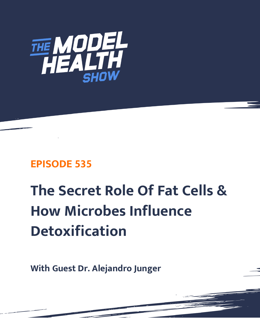

## **EPISODE 535**

# **The Secret Role Of Fat Cells & How Microbes Influence Detoxification**

**With Guest Dr. Alejandro Junger**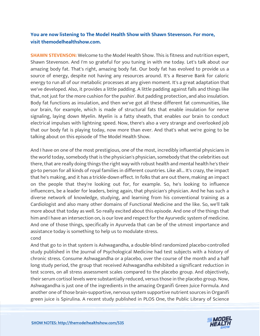### **You are now listening to The Model Health Show with Shawn Stevenson. For more, visit themodelhealthshow.com.**

**SHAWN STEVENSON:** Welcome to the Model Health Show. This is fitness and nutrition expert, Shawn Stevenson. And I'm so grateful for you tuning in with me today. Let's talk about our amazing body fat. That's right, amazing body fat. Our body fat has evolved to provide us a source of energy, despite not having any resources around. It's a Reserve Bank for caloric energy to run all of our metabolic processes at any given moment. It's a great adaptation that we've developed. Also, it provides a little padding. A little padding against falls and things like that, not just for the more cushion for the pushin'. But padding protection, and also insulation. Body fat functions as insulation, and then we've got all these different fat communities, like our brain, for example, which is made of structural fats that enable insulation for nerve signaling, laying down Myelin. Myelin is a fatty sheath, that enables our brain to conduct electrical impulses with lightning speed. Now, there's also a very strange and overlooked job that our body fat is playing today, now more than ever. And that's what we're going to be talking about on this episode of The Model Health Show.

And I have on one of the most prestigious, one of the most, incredibly influential physicians in the world today, somebody that is the physician's physician, somebody that the celebrities out there, that are really doing things the right way with robust health and mental health he's their go-to person for all kinds of royal families in different countries. Like all... It's crazy, the impact that he's making, and it has a trickle-down effect. In folks that are out there, making an impact on the people that they're looking out for, for example. So, he's looking to influence influencers, be a leader for leaders, being again, that physician's physician. And he has such a diverse network of knowledge, studying, and learning from his conventional training as a Cardiologist and also many other domains of Functional Medicine and the like. So, we'll talk more about that today as well. So really excited about this episode. And one of the things that him and I have an intersection on, is our love and respect for the Ayurvedic system of medicine. And one of those things, specifically in Ayurveda that can be of the utmost importance and assistance today is something to help us to modulate stress. cond

And that go to in that system is Ashwagandha, a double-blind randomized placebo-controlled study published in the Journal of Psychological Medicine had test subjects with a history of chronic stress. Consume Ashwagandha or a placebo, over the course of the month and a half long study period, the group that received Ashwagandha exhibited a significant reduction in test scores, on all stress assessment scales compared to the placebo group. And objectively, their serum cortisol levels were substantially reduced, versus those in the placebo group. Now, Ashwagandha is just one of the ingredients in the amazing Organifi Green Juice Formula. And another one of those brain-supportive, nervous system supportive nutrient sources in Organifi [green juice is Spirulina. A recent study published in PLOS One, the Public Library of Science](https://themodelhealthshow.com/dr-alejandro-junger/) 

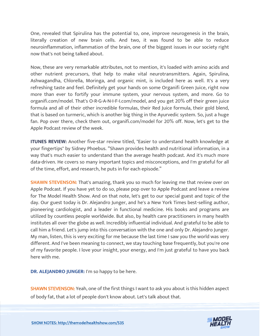One, revealed that Spirulina has the potential to, one, improve neurogenesis in the brain, literally creation of new brain cells. And two, it was found to be able to reduce neuroinflammation, inflammation of the brain, one of the biggest issues in our society right now that's not being talked about.

Now, these are very remarkable attributes, not to mention, it's loaded with amino acids and other nutrient precursors, that help to make vital neurotransmitters. Again, Spirulina, Ashwagandha, Chlorella, Moringa, and organic mint, is included here as well. It's a very refreshing taste and feel. Definitely get your hands on some Organifi Green Juice, right now more than ever to fortify your immune system, your nervous system, and more. Go to organifi.com/model. That's O-R-G-A-N-I-F-I.com/model, and you get 20% off their green juice formula and all of their other incredible formulas, their Red Juice formula, their gold blend, that is based on turmeric, which is another big thing in the Ayurvedic system. So, just a huge fan. Pop over there, check them out, organifi.com/model for 20% off. Now, let's get to the Apple Podcast review of the week.

**ITUNES REVIEW:** Another five-star review titled, "Easier to understand health knowledge at your fingertips" by Sidney Phoebus. "Shawn provides health and nutritional information, in a way that's much easier to understand than the average health podcast. And it's much more data-driven. He covers so many important topics and misconceptions, and I'm grateful for all of the time, effort, and research, he puts in for each episode."

**SHAWN STEVENSON:** That's amazing, thank you so much for leaving me that review over on Apple Podcast. If you have yet to do so, please pop over to Apple Podcast and leave a review for The Model Health Show. And on that note, let's get to our special guest and topic of the day. Our guest today is Dr. Alejandro Junger, and he's a New York Times best-selling author, pioneering cardiologist, and a leader in functional medicine. His books and programs are utilized by countless people worldwide. But also, by health care practitioners in many health institutes all over the globe as well. Incredibly influential individual. And grateful to be able to call him a friend. Let's jump into this conversation with the one and only Dr. Alejandro Junger. My man, listen, this is very exciting for me because the last time I saw you the world was very different. And I've been meaning to connect, we stay touching base frequently, but you're one of my favorite people. I love your insight, your energy, and I'm just grateful to have you back here with me.

**DR. ALEJANDRO JUNGER:** I'm so happy to be here.

**SHAWN STEVENSON:** Yeah, one of the first things I want to ask you about is this hidden aspect of body fat, that a lot of people don't know about. Let's talk about that.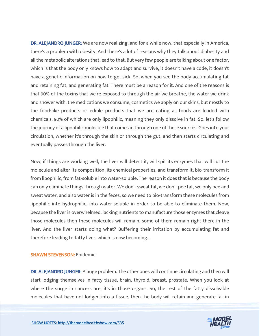DR. ALEJANDRO JUNGER: We are now realizing, and for a while now, that especially in America, there's a problem with obesity. And there's a lot of reasons why they talk about diabesity and all the metabolic alterations that lead to that. But very few people are talking about one factor, which is that the body only knows how to adapt and survive, it doesn't have a code, it doesn't have a genetic information on how to get sick. So, when you see the body accumulating fat and retaining fat, and generating fat. There must be a reason for it. And one of the reasons is that 90% of the toxins that we're exposed to through the air we breathe, the water we drink and shower with, the medications we consume, cosmetics we apply on our skins, but mostly to the food-like products or edible products that we are eating as foods are loaded with chemicals. 90% of which are only lipophilic, meaning they only dissolve in fat. So, let's follow the journey of a lipophilic molecule that comes in through one of these sources. Goes into your circulation, whether it's through the skin or through the gut, and then starts circulating and eventually passes through the liver.

Now, if things are working well, the liver will detect it, will spit its enzymes that will cut the molecule and alter its composition, its chemical properties, and transform it, bio-transform it from lipophilic, from fat-soluble into water-soluble. The reason it does that is because the body can only eliminate things through water. We don't sweat fat, we don't pee fat, we only pee and sweat water, and also water is in the feces, so we need to bio-transform these molecules from lipophilic into hydrophilic, into water-soluble in order to be able to eliminate them. Now, because the liver is overwhelmed, lacking nutrients to manufacture those enzymes that cleave those molecules then these molecules will remain, some of them remain right there in the liver. And the liver starts doing what? Buffering their irritation by accumulating fat and therefore leading to fatty liver, which is now becoming...

#### SHAWN STEVENSON: Epidemic.

DR. ALEJANDRO JUNGER: A huge problem. The other ones will continue circulating and then will start lodging themselves in fatty tissue, brain, thyroid, breast, prostate. When you look at where the surge in cancers are, it's in those organs. So, the rest of the fatty dissolvable molecules that have not lodged into a tissue, then the body will retain and generate fat in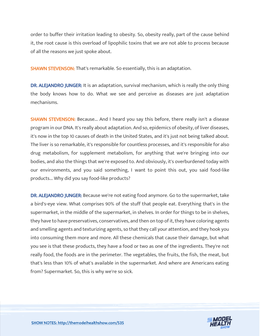order to buffer their irritation leading to obesity. So, obesity really, part of the cause behind it, the root cause is this overload of lipophilic toxins that we are not able to process because of all the reasons we just spoke about.

SHAWN STEVENSON: That's remarkable. So essentially, this is an adaptation.

DR. ALEJANDRO JUNGER: It is an adaptation, survival mechanism, which is really the only thing the body knows how to do. What we see and perceive as diseases are just adaptation mechanisms.

SHAWN STEVENSON: Because... And I heard you say this before, there really isn't a disease program in our DNA. It's really about adaptation. And so, epidemics of obesity, of liver diseases, it's now in the top 10 causes of death in the United States, and it's just not being talked about. The liver is so remarkable, it's responsible for countless processes, and it's responsible for also drug metabolism, for supplement metabolism, for anything that we're bringing into our bodies, and also the things that we're exposed to. And obviously, it's overburdened today with our environments, and you said something, I want to point this out, you said food-like products... Why did you say food-like products?

DR. ALEJANDRO JUNGER: Because we're not eating food anymore. Go to the supermarket, take a bird's-eye view. What comprises 90% of the stuff that people eat. Everything that's in the supermarket, in the middle of the supermarket, in shelves. In order for things to be in shelves, they have to have preservatives, conservatives, and then on top of it, they have coloring agents and smelling agents and texturizing agents, so that they call your attention, and they hook you into consuming them more and more. All these chemicals that cause their damage, but what you see is that these products, they have a food or two as one of the ingredients. They're not really food, the foods are in the perimeter. The vegetables, the fruits, the fish, the meat, but that's less than 10% of what's available in the supermarket. And where are Americans eating from? Supermarket. So, this is why we're so sick.

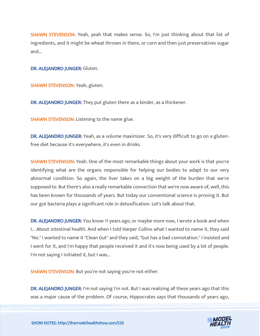SHAWN STEVENSON: Yeah, yeah that makes sense. So, I'm just thinking about that list of ingredients, and it might be wheat thrown in there, or corn and then just preservatives sugar and...

DR. ALEJANDRO JUNGER: Gluten.

SHAWN STEVENSON: Yeah, gluten.

DR. ALEJANDRO JUNGER: They put gluten there as a binder, as a thickener.

**SHAWN STEVENSON:** Listening to the name glue.

DR. ALEJANDRO JUNGER: Yeah, as a volume maximizer. So, it's very difficult to go on a glutenfree diet because it's everywhere, it's even in drinks.

**SHAWN STEVENSON:** Yeah. One of the most remarkable things about your work is that you're identifying what are the organs responsible for helping our bodies to adapt to our very abnormal condition. So again, the liver takes on a big weight of the burden that we're supposed to. But there's also a really remarkable connection that we're now aware of, well, this has been known for thousands of years. But today our conventional science is proving it. But our gut bacteria plays a significant role in detoxification. Let's talk about that.

DR. ALEJANDRO JUNGER: You know 11 years ago, or maybe more now, I wrote a book and when I... About intestinal health. And when I told Harper Collins what I wanted to name it, they said "No." I wanted to name it "Clean Gut" and they said, "Gut has a bad connotation." I insisted and I went for it, and I'm happy that people received it and it's now being used by a lot of people. I'm not saying I initiated it, but I was...

SHAWN STEVENSON: But you're not saying you're not either.

DR. ALEJANDRO JUNGER: I'm not saying I'm not. But I was realizing all these years ago that this was a major cause of the problem. Of course, Hippocrates says that thousands of years ago,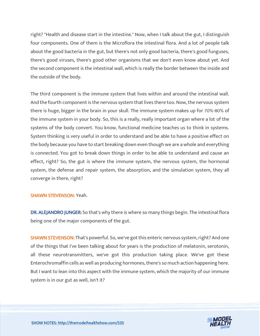right? "Health and disease start in the intestine." Now, when I talk about the gut, I distinguish four components. One of them is the Microflora the intestinal flora. And a lot of people talk about the good bacteria in the gut, but there's not only good bacteria, there's good funguses, there's good viruses, there's good other organisms that we don't even know about yet. And the second component is the intestinal wall, which is really the border between the inside and the outside of the body.

The third component is the immune system that lives within and around the intestinal wall. And the fourth component is the nervous system that lives there too. Now, the nervous system there is huge, bigger in the brain in your skull. The immune system makes up for 70%-80% of the immune system in your body. So, this is a really, really important organ where a lot of the systems of the body convert. You know, functional medicine teaches us to think in systems. System thinking is very useful in order to understand and be able to have a positive effect on the body because you have to start breaking down even though we are a whole and everything is connected. You got to break down things in order to be able to understand and cause an effect, right? So, the gut is where the immune system, the nervous system, the hormonal system, the defense and repair system, the absorption, and the simulation system, they all converge in there, right?

#### SHAWN STEVENSON: Yeah.

DR. ALEJANDRO JUNGER: So that's why there is where so many things begin. The intestinal flora being one of the major components of the gut.

SHAWN STEVENSON: That's powerful. So, we've got this enteric nervous system, right? And one of the things that I've been talking about for years is the production of melatonin, serotonin, all these neurotransmitters, we've got this production taking place. We've got these Enterochromaffin cells as well as producing hormones, there's so much action happening here. But I want to lean into this aspect with the immune system, which the majority of our immune system is in our gut as well, isn't it?

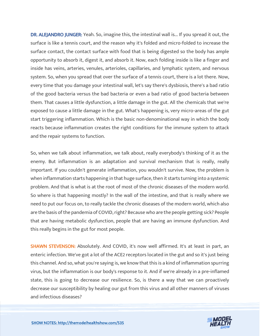DR. ALEJANDRO JUNGER: Yeah. So, imagine this, the intestinal wall is... If you spread it out, the surface is like a tennis court, and the reason why it's folded and micro-folded to increase the surface contact, the contact surface with food that is being digested so the body has ample opportunity to absorb it, digest it, and absorb it. Now, each folding inside is like a finger and inside has veins, arteries, venules, arterioles, capillaries, and lymphatic system, and nervous system. So, when you spread that over the surface of a tennis court, there is a lot there. Now, every time that you damage your intestinal wall, let's say there's dysbiosis, there's a bad ratio of the good bacteria versus the bad bacteria or even a bad ratio of good bacteria between them. That causes a little dysfunction, a little damage in the gut. All the chemicals that we're exposed to cause a little damage in the gut. What's happening is, very micro-areas of the gut start triggering inflammation. Which is the basic non-denominational way in which the body reacts because inflammation creates the right conditions for the immune system to attack and the repair systems to function.

So, when we talk about inflammation, we talk about, really everybody's thinking of it as the enemy. But inflammation is an adaptation and survival mechanism that is really, really important. If you couldn't generate inflammation, you wouldn't survive. Now, the problem is when inflammation starts happening in that huge surface, then it starts turning into a systemic problem. And that is what is at the root of most of the chronic diseases of the modern world. So where is that happening mostly? In the wall of the intestine, and that is really where we need to put our focus on, to really tackle the chronic diseases of the modern world, which also are the basis of the pandemia of COVID, right? Because who are the people getting sick? People that are having metabolic dysfunction, people that are having an immune dysfunction. And this really begins in the gut for most people.

SHAWN STEVENSON: Absolutely. And COVID, it's now well affirmed. It's at least in part, an enteric infection. We've got a lot of the ACE2 receptors located in the gut and so it's just being this channel. And so, what you're saying is, we know that this is a kind of inflammation spurring virus, but the inflammation is our body's response to it. And if we're already in a pre-inflamed state, this is going to decrease our resilience. So, is there a way that we can proactively decrease our susceptibility by healing our gut from this virus and all other manners of viruses and infectious diseases?

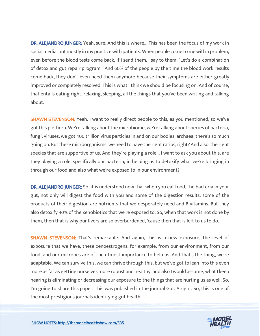DR. ALEJANDRO JUNGER: Yeah, sure. And this is where... This has been the focus of my work in social media, but mostly in my practice with patients. When people come to me with a problem, even before the blood tests come back, if I send them, I say to them, "Let's do a combination of detox and gut repair program." And 60% of the people by the time the blood work results come back, they don't even need them anymore because their symptoms are either greatly improved or completely resolved. This is what I think we should be focusing on. And of course, that entails eating right, relaxing, sleeping, all the things that you've been writing and talking about.

SHAWN STEVENSON: Yeah. I want to really direct people to this, as you mentioned, so we've got this plethora. We're talking about the microbiome, we're talking about species of bacteria, fungi, viruses, we got 400 trillion virus particles in and on our bodies, archaea, there's so much going on. But these microorganisms, we need to have the right ratios, right? And also, the right species that are supportive of us. And they're playing a role... I want to ask you about this, are they playing a role, specifically our bacteria, in helping us to detoxify what we're bringing in through our food and also what we're exposed to in our environment?

DR. ALEJANDRO JUNGER: So, it is understood now that when you eat food, the bacteria in your gut, not only will digest the food with you and some of the digestion results, some of the products of their digestion are nutrients that we desperately need and B vitamins. But they also detoxify 40% of the xenobiotics that we're exposed to. So, when that work is not done by them, then that is why our livers are so overburdened, 'cause then that is left to us to do.

SHAWN STEVENSON: That's remarkable. And again, this is a new exposure, the level of exposure that we have, these xenoestrogens, for example, from our environment, from our food, and our microbes are of the utmost importance to help us. And that's the thing, we're adaptable. We can survive this, we can thrive through this, but we've got to lean into this even more as far as getting ourselves more robust and healthy, and also I would assume, what I keep hearing is eliminating or decreasing our exposure to the things that are hurting us as well. So, I'm going to share this paper. This was published in the journal Gut. Alright. So, this is one of the most prestigious journals identifying gut health.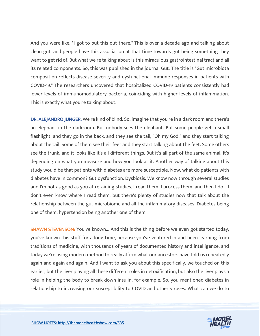And you were like, "I got to put this out there." This is over a decade ago and talking about clean gut, and people have this association at that time towards gut being something they want to get rid of. But what we're talking about is this miraculous gastrointestinal tract and all its related components. So, this was published in the journal Gut. The title is "Gut microbiota composition reflects disease severity and dysfunctional immune responses in patients with COVID-19." The researchers uncovered that hospitalized COVID-19 patients consistently had lower levels of immunomodulatory bacteria, coinciding with higher levels of inflammation. This is exactly what you're talking about.

DR. ALEJANDRO JUNGER: We're kind of blind. So, imagine that you're in a dark room and there's an elephant in the darkroom. But nobody sees the elephant. But some people get a small flashlight, and they go in the back, and they see the tail, "Oh my God." and they start talking about the tail. Some of them see their feet and they start talking about the feet. Some others see the trunk, and it looks like it's all different things. But it's all part of the same animal. It's depending on what you measure and how you look at it. Another way of talking about this study would be that patients with diabetes are more susceptible. Now, what do patients with diabetes have in common? Gut dysfunction. Dysbiosis. We know now through several studies and I'm not as good as you at retaining studies. I read them, I process them, and then I do... I don't even know where I read them, but there's plenty of studies now that talk about the relationship between the gut microbiome and all the inflammatory diseases. Diabetes being one of them, hypertension being another one of them.

**SHAWN STEVENSON:** You've known... And this is the thing before we even got started today, you've known this stuff for a long time, because you've ventured in and been learning from traditions of medicine, with thousands of years of documented history and intelligence, and today we're using modern method to really affirm what our ancestors have told us repeatedly again and again and again. And I want to ask you about this specifically, we touched on this earlier, but the liver playing all these different roles in detoxification, but also the liver plays a role in helping the body to break down insulin, for example. So, you mentioned diabetes in relationship to increasing our susceptibility to COVID and other viruses. What can we do to

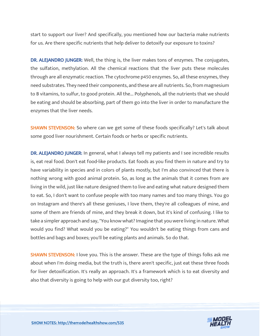start to support our liver? And specifically, you mentioned how our bacteria make nutrients for us. Are there specific nutrients that help deliver to detoxify our exposure to toxins?

DR. ALEJANDRO JUNGER: Well, the thing is, the liver makes tons of enzymes. The conjugates, the sulfation, methylation. All the chemical reactions that the liver puts these molecules through are all enzymatic reaction. The cytochrome p450 enzymes. So, all these enzymes, they need substrates. They need their components, and these are all nutrients. So, from magnesium to B vitamins, to sulfur, to good protein. All the... Polyphenols, all the nutrients that we should be eating and should be absorbing, part of them go into the liver in order to manufacture the enzymes that the liver needs.

SHAWN STEVENSON: So where can we get some of these foods specifically? Let's talk about some good liver nourishment. Certain foods or herbs or specific nutrients.

DR. ALEJANDRO JUNGER: In general, what I always tell my patients and I see incredible results is, eat real food. Don't eat food-like products. Eat foods as you find them in nature and try to have variability in species and in colors of plants mostly, but I'm also convinced that there is nothing wrong with good animal protein. So, as long as the animals that it comes from are living in the wild, just like nature designed them to live and eating what nature designed them to eat. So, I don't want to confuse people with too many names and too many things. You go on Instagram and there's all these geniuses, I love them, they're all colleagues of mine, and some of them are friends of mine, and they break it down, but it's kind of confusing. I like to take a simpler approach and say, "You know what? Imagine that you were living in nature. What would you find? What would you be eating?" You wouldn't be eating things from cans and bottles and bags and boxes; you'll be eating plants and animals. So do that.

**SHAWN STEVENSON: I** love you. This is the answer. These are the type of things folks ask me about when I'm doing media, but the truth is, there aren't specific, just eat these three foods for liver detoxification. It's really an approach. It's a framework which is to eat diversity and also that diversity is going to help with our gut diversity too, right?

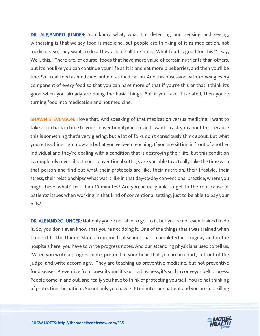DR. ALEJANDRO JUNGER: You know what, what I'm detecting and sensing and seeing, witnessing is that we say food is medicine, but people are thinking of it as medication, not medicine. So, they want to do... They ask me all the time, "What food is good for this?" I say, Well, this... There are, of course, foods that have more value of certain nutrients than others, but it's not like you can continue your life as it is and eat more blueberries, and then you'll be fine. So, treat food as medicine, but not as medication. And this obsession with knowing every component of every food so that you can have more of that if you're this or that. I think it's good when you already are doing the basic things. But if you take it isolated, then you're turning food into medication and not medicine.

SHAWN STEVENSON: I love that. And speaking of that medication versus medicine. I want to take a trip back in time to your conventional practice and I want to ask you about this because this is something that's very glaring, but a lot of folks don't consciously think about. But what you're teaching right now and what you've been teaching. If you are sitting in front of another individual and they're dealing with a condition that is destroying their life, but this condition is completely reversible. In our conventional setting, are you able to actually take the time with that person and find out what their protocols are like, their nutrition, their lifestyle, their stress, their relationships? What was it like in that day-to-day conventional practice, where you might have, what? Less than 10 minutes? Are you actually able to get to the root cause of patients' issues when working in that kind of conventional setting, just to be able to pay your bills?

DR. ALEJANDRO JUNGER: Not only you're not able to get to it, but you're not even trained to do it. So, you don't even know that you're not doing it. One of the things that I was trained when I moved to the United States from medical school that I completed in Uruguay and in the hospitals here, you have to write progress notes. And our attending physicians used to tell us, "When you write a progress note, pretend in your head that you are in court, in front of the judge, and write accordingly." They are teaching us preventive medicine, but not preventive for diseases. Preventive from lawsuits and it's such a business, it's such a conveyor belt process. People come in and out, and really you have to think of protecting yourself. You're not thinking of protecting the patient. So not only you have 7, 10 minutes per patient and you are just killing

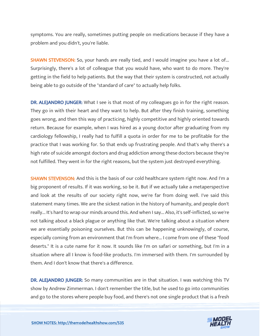symptoms. You are really, sometimes putting people on medications because if they have a problem and you didn't, you're liable.

**SHAWN STEVENSON:** So, your hands are really tied, and I would imagine you have a lot of... Surprisingly, there's a lot of colleague that you would have, who want to do more. They're getting in the field to help patients. But the way that their system is constructed, not actually being able to go outside of the "standard of care" to actually help folks.

DR. ALEJANDRO JUNGER: What I see is that most of my colleagues go in for the right reason. They go in with their heart and they want to help. But after they finish training, something goes wrong, and then this way of practicing, highly competitive and highly oriented towards return. Because for example, when I was hired as a young doctor after graduating from my cardiology fellowship, I really had to fulfill a quota in order for me to be profitable for the practice that I was working for. So that ends up frustrating people. And that's why there's a high rate of suicide amongst doctors and drug addiction among these doctors because they're not fulfilled. They went in for the right reasons, but the system just destroyed everything.

SHAWN STEVENSON: And this is the basis of our cold healthcare system right now. And I'm a big proponent of results. If it was working, so be it. But if we actually take a metaperspective and look at the results of our society right now, we're far from doing well. I've said this statement many times. We are the sickest nation in the history of humanity, and people don't really... It's hard to wrap our minds around this. And when I say... Also, it's self-inflicted, so we're not talking about a black plague or anything like that. We're talking about a situation where we are essentially poisoning ourselves. But this can be happening unknowingly, of course, especially coming from an environment that I'm from where... I come from one of these "food deserts." It is a cute name for it now. It sounds like I'm on safari or something, but I'm in a situation where all I know is food-like products. I'm immersed with them. I'm surrounded by them. And I don't know that there's a difference.

DR. ALEJANDRO JUNGER: So many communities are in that situation. I was watching this TV show by Andrew Zimmerman. I don't remember the title, but he used to go into communities and go to the stores where people buy food, and there's not one single product that is a fresh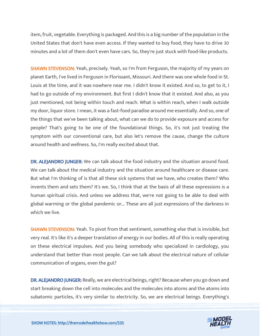item, fruit, vegetable. Everything is packaged. And this is a big number of the population in the United States that don't have even access. If they wanted to buy food, they have to drive 30 minutes and a lot of them don't even have cars. So, they're just stuck with food-like products.

**SHAWN STEVENSON:** Yeah, precisely. Yeah, so I'm from Ferguson, the majority of my years on planet Earth, I've lived in Ferguson in Florissant, Missouri. And there was one whole food in St. Louis at the time, and it was nowhere near me. I didn't know it existed. And so, to get to it, I had to go outside of my environment. But first I didn't know that it existed. And also, as you just mentioned, not being within touch and reach. What is within reach, when I walk outside my door, liquor store. I mean, it was a fast-food paradise around me essentially. And so, one of the things that we've been talking about, what can we do to provide exposure and access for people? That's going to be one of the foundational things. So, it's not just treating the symptom with our conventional care, but also let's remove the cause, change the culture around health and wellness. So, I'm really excited about that.

DR. ALEJANDRO JUNGER: We can talk about the food industry and the situation around food. We can talk about the medical industry and the situation around healthcare or disease care. But what I'm thinking of is that all these sick systems that we have, who creates them? Who invents them and sets them? It's we. So, I think that at the basis of all these expressions is a human spiritual crisis. And unless we address that, we're not going to be able to deal with global warming or the global pandemic or... These are all just expressions of the darkness in which we live.

SHAWN STEVENSON: Yeah. To pivot from that sentiment, something else that is invisible, but very real. It's like it's a deeper translation of energy in our bodies. All of this is really operating on these electrical impulses. And you being somebody who specialized in cardiology, you understand that better than most people. Can we talk about the electrical nature of cellular communication of organs, even the gut?

DR. ALEJANDRO JUNGER: Really, we are electrical beings, right? Because when you go down and start breaking down the cell into molecules and the molecules into atoms and the atoms into subatomic particles, it's very similar to electricity. So, we are electrical beings. Everything's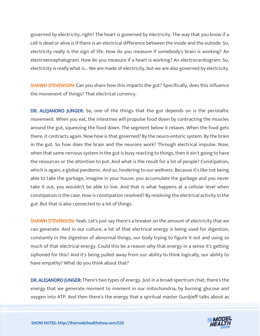governed by electricity, right? The heart is governed by electricity. The way that you know if a cell is dead or alive is if there is an electrical difference between the inside and the outside. So, electricity really is the sign of life. How do you measure if somebody's brain is working? An electroencephalogram. How do you measure if a heart is working? An electrocardiogram. So, electricity is really what is... We are made of electricity, but we are also governed by electricity.

**SHAWN STEVENSON:** Can you share how this impacts the gut? Specifically, does this influence the movement of things? That electrical currency.

DR. ALEJANDRO JUNGER: So, one of the things that the gut depends on is the peristaltic movement. When you eat, the intestines will propulse food down by contracting the muscles around the gut, squeezing the food down. The segment below it relaxes. When the food gets there, it contracts again. Now how is that governed? By the neuro-enteric system. By the brain in the gut. So how does the brain and the neurons work? Through electrical impulse. Now, when that same nervous system in the gut is busy reacting to things, then it ain't going to have the resources or the attention to put. And what is the result for a lot of people? Constipation, which is again, a global pandemic. And so, hindering to our wellness. Because it's like not being able to take the garbage, imagine in your house, you accumulate the garbage and you never take it out, you wouldn't be able to live. And that is what happens at a cellular level when constipation is the case. How is constipation resolved? By resolving the electrical activity in the gut. But that is also connected to a lot of things.

**SHAWN STEVENSON:** Yeah. Let's just say there's a breaker on the amount of electricity that we can generate. And in our culture, a lot of that electrical energy is being used for digestion, constantly in the digestion of abnormal things, our body trying to figure it out and using so much of that electrical energy. Could this be a reason why that energy in a sense it's getting siphoned for this? And it's being pulled away from our ability to think logically, our ability to have empathy? What do you think about that?

DR. ALEJANDRO JUNGER: There's two types of energy. Just in a broad-spectrum chat, there's the energy that we generate moment to moment in our mitochondria, by burning glucose and oxygen into ATP. And then there's the energy that a spiritual master Gurdjieff talks about as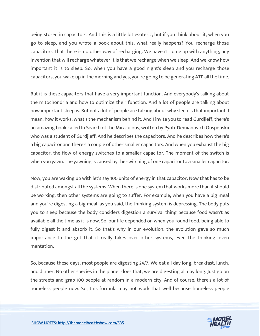being stored in capacitors. And this is a little bit esoteric, but if you think about it, when you go to sleep, and you wrote a book about this, what really happens? You recharge those capacitors, that there is no other way of recharging. We haven't come up with anything, any invention that will recharge whatever it is that we recharge when we sleep. And we know how important it is to sleep. So, when you have a good night's sleep and you recharge those capacitors, you wake up in the morning and yes, you're going to be generating ATP all the time.

But it is these capacitors that have a very important function. And everybody's talking about the mitochondria and how to optimize their function. And a lot of people are talking about how important sleep is. But not a lot of people are talking about why sleep is that important. I mean, how it works, what's the mechanism behind it. And I invite you to read Gurdjieff, there's an amazing book called In Search of the Miraculous, written by Pyotr Demianovich Ouspenskii who was a student of Gurdjieff. And he describes the capacitors. And he describes how there's a big capacitor and there's a couple of other smaller capacitors. And when you exhaust the big capacitor, the flow of energy switches to a smaller capacitor. The moment of the switch is when you yawn. The yawning is caused by the switching of one capacitor to a smaller capacitor.

Now, you are waking up with let's say 100 units of energy in that capacitor. Now that has to be distributed amongst all the systems. When there is one system that works more than it should be working, then other systems are going to suffer. For example, when you have a big meal and you're digesting a big meal, as you said, the thinking system is depressing. The body puts you to sleep because the body considers digestion a survival thing because food wasn't as available all the time as it is now. So, our life depended on when you found food, being able to fully digest it and absorb it. So that's why in our evolution, the evolution gave so much importance to the gut that it really takes over other systems, even the thinking, even mentation.

So, because these days, most people are digesting 24/7. We eat all day long, breakfast, lunch, and dinner. No other species in the planet does that, we are digesting all day long. Just go on the streets and grab 100 people at random in a modern city. And of course, there's a lot of homeless people now. So, this formula may not work that well because homeless people

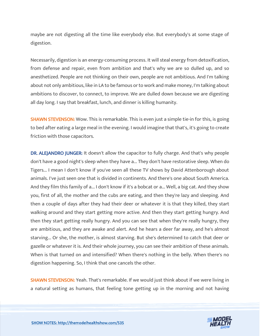maybe are not digesting all the time like everybody else. But everybody's at some stage of digestion.

Necessarily, digestion is an energy-consuming process. It will steal energy from detoxification, from defense and repair, even from ambition and that's why we are so dulled up, and so anesthetized. People are not thinking on their own, people are not ambitious. And I'm talking about not only ambitious, like in LA to be famous or to work and make money, I'm talking about ambitions to discover, to connect, to improve. We are dulled down because we are digesting all day long. I say that breakfast, lunch, and dinner is killing humanity.

**SHAWN STEVENSON:** Wow. This is remarkable. This is even just a simple tie-in for this, is going to bed after eating a large meal in the evening. I would imagine that that's, it's going to create friction with those capacitors.

DR. ALEJANDRO JUNGER: It doesn't allow the capacitor to fully charge. And that's why people don't have a good night's sleep when they have a... They don't have restorative sleep. When do Tigers... I mean I don't know if you've seen all these TV shows by David Attenborough about animals. I've just seen one that is divided in continents. And there's one about South America. And they film this family of a... I don't know if it's a bobcat or a... Well, a big cat. And they show you, first of all, the mother and the cubs are eating, and then they're lazy and sleeping. And then a couple of days after they had their deer or whatever it is that they killed, they start walking around and they start getting more active. And then they start getting hungry. And then they start getting really hungry. And you can see that when they're really hungry, they are ambitious, and they are awake and alert. And he hears a deer far away, and he's almost starving... Or she, the mother, is almost starving. But she's determined to catch that deer or gazelle or whatever it is. And their whole journey, you can see their ambition of these animals. When is that turned on and intensified? When there's nothing in the belly. When there's no digestion happening. So, I think that one cancels the other.

**SHAWN STEVENSON:** Yeah. That's remarkable. If we would just think about if we were living in a natural setting as humans, that feeling tone getting up in the morning and not having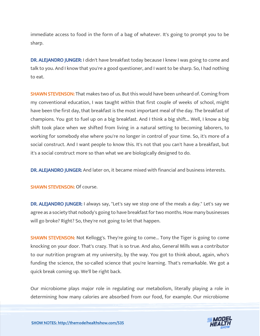immediate access to food in the form of a bag of whatever. It's going to prompt you to be sharp.

DR. ALEJANDRO JUNGER: I didn't have breakfast today because I knew I was going to come and talk to you. And I know that you're a good questioner, and I want to be sharp. So, I had nothing to eat.

**SHAWN STEVENSON:** That makes two of us. But this would have been unheard of. Coming from my conventional education, I was taught within that first couple of weeks of school, might have been the first day, that breakfast is the most important meal of the day. The breakfast of champions. You got to fuel up on a big breakfast. And I think a big shift... Well, I know a big shift took place when we shifted from living in a natural setting to becoming laborers, to working for somebody else where you're no longer in control of your time. So, it's more of a social construct. And I want people to know this. It's not that you can't have a breakfast, but it's a social construct more so than what we are biologically designed to do.

DR. ALEJANDRO JUNGER: And later on, it became mixed with financial and business interests.

SHAWN STEVENSON: Of course.

DR. ALEJANDRO JUNGER: I always say, "Let's say we stop one of the meals a day." Let's say we agree as a society that nobody's going to have breakfast for two months. How many businesses will go broke? Right? So, they're not going to let that happen.

SHAWN STEVENSON: Not Kellogg's. They're going to come... Tony the Tiger is going to come knocking on your door. That's crazy. That is so true. And also, General Mills was a contributor to our nutrition program at my university, by the way. You got to think about, again, who's funding the science, the so-called science that you're learning. That's remarkable. We got a quick break coming up. We'll be right back.

Our microbiome plays major role in regulating our metabolism, literally playing a role in determining how many calories are absorbed from our food, for example. Our microbiome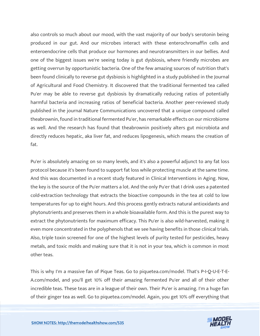also controls so much about our mood, with the vast majority of our body's serotonin being produced in our gut. And our microbes interact with these enterochromaffin cells and enteroendocrine cells that produce our hormones and neurotransmitters in our bellies. And one of the biggest issues we're seeing today is gut dysbiosis, where friendly microbes are getting overrun by opportunistic bacteria. One of the few amazing sources of nutrition that's been found clinically to reverse gut dysbiosis is highlighted in a study published in the Journal of Agricultural and Food Chemistry. It discovered that the traditional fermented tea called Pu'er may be able to reverse gut dysbiosis by dramatically reducing ratios of potentially harmful bacteria and increasing ratios of beneficial bacteria. Another peer-reviewed study published in the journal Nature Communications uncovered that a unique compound called theabrownin, found in traditional fermented Pu'er, has remarkable effects on our microbiome as well. And the research has found that theabrownin positively alters gut microbiota and directly reduces hepatic, aka liver fat, and reduces lipogenesis, which means the creation of fat.

Pu'er is absolutely amazing on so many levels, and it's also a powerful adjunct to any fat loss protocol because it's been found to support fat loss while protecting muscle at the same time. And this was documented in a recent study featured in Clinical Interventions in Aging. Now, the key is the source of the Pu'er matters a lot. And the only Pu'er that I drink uses a patented cold-extraction technology that extracts the bioactive compounds in the tea at cold to low temperatures for up to eight hours. And this process gently extracts natural antioxidants and phytonutrients and preserves them in a whole bioavailable form. And this is the purest way to extract the phytonutrients for maximum efficacy. This Pu'er is also wild-harvested, making it even more concentrated in the polyphenols that we see having benefits in those clinical trials. Also, triple toxin screened for one of the highest levels of purity tested for pesticides, heavy metals, and toxic molds and making sure that it is not in your tea, which is common in most other teas.

This is why I'm a massive fan of Pique Teas. Go to piquetea.com/model. That's P-I-Q-U-E-T-E-A.com/model, and you'll get 10% off their amazing fermented Pu'er and all of their other incredible teas. These teas are in a league of their own. Their Pu'er is amazing. I'm a huge fan of their ginger tea as well. Go to piquetea.com/model. Again, you get 10% off everything that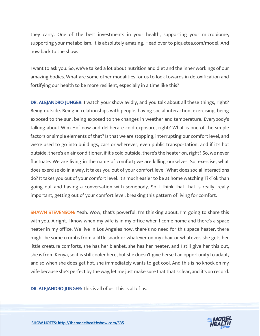they carry. One of the best investments in your health, supporting your microbiome, supporting your metabolism. It is absolutely amazing. Head over to piquetea.com/model. And now back to the show.

I want to ask you. So, we've talked a lot about nutrition and diet and the inner workings of our amazing bodies. What are some other modalities for us to look towards in detoxification and fortifying our health to be more resilient, especially in a time like this?

DR. ALEJANDRO JUNGER: I watch your show avidly, and you talk about all these things, right? Being outside. Being in relationships with people, having social interaction, exercising, being exposed to the sun, being exposed to the changes in weather and temperature. Everybody's talking about Wim Hof now and deliberate cold exposure, right? What is one of the simple factors or simple elements of that? Is that we are stopping, interrupting our comfort level, and we're used to go into buildings, cars or wherever, even public transportation, and if it's hot outside, there's an air conditioner, if it's cold outside, there's the heater on, right? So, we never fluctuate. We are living in the name of comfort; we are killing ourselves. So, exercise, what does exercise do in a way, it takes you out of your comfort level. What does social interactions do? It takes you out of your comfort level. It's much easier to be at home watching TikTok than going out and having a conversation with somebody. So, I think that that is really, really important, getting out of your comfort level, breaking this pattern of living for comfort.

**SHAWN STEVENSON:** Yeah. Wow, that's powerful. I'm thinking about, I'm going to share this with you. Alright, I know when my wife is in my office when I come home and there's a space heater in my office. We live in Los Angeles now, there's no need for this space heater, there might be some crumbs from a little snack or whatever on my chair or whatever, she gets her little creature comforts, she has her blanket, she has her heater, and I still give her this out, she is from Kenya, so it is still cooler here, but she doesn't give herself an opportunity to adapt, and so when she does get hot, she immediately wants to get cool. And this is no knock on my wife because she's perfect by the way, let me just make sure that that's clear, and it's on record.

DR. ALEJANDRO JUNGER: This is all of us. This is all of us.

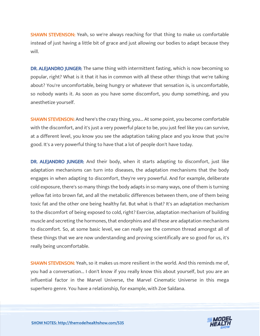**SHAWN STEVENSON:** Yeah, so we're always reaching for that thing to make us comfortable instead of just having a little bit of grace and just allowing our bodies to adapt because they will.

DR. ALEJANDRO JUNGER: The same thing with intermittent fasting, which is now becoming so popular, right? What is it that it has in common with all these other things that we're talking about? You're uncomfortable, being hungry or whatever that sensation is, is uncomfortable, so nobody wants it. As soon as you have some discomfort, you dump something, and you anesthetize yourself.

SHAWN STEVENSON: And here's the crazy thing, you... At some point, you become comfortable with the discomfort, and it's just a very powerful place to be, you just feel like you can survive, at a different level, you know you see the adaptation taking place and you know that you're good. It's a very powerful thing to have that a lot of people don't have today.

DR. ALEJANDRO JUNGER: And their body, when it starts adapting to discomfort, just like adaptation mechanisms can turn into diseases, the adaptation mechanisms that the body engages in when adapting to discomfort, they're very powerful. And for example, deliberate cold exposure, there's so many things the body adapts in so many ways, one of them is turning yellow fat into brown fat, and all the metabolic differences between them, one of them being toxic fat and the other one being healthy fat. But what is that? It's an adaptation mechanism to the discomfort of being exposed to cold, right? Exercise, adaptation mechanism of building muscle and secreting the hormones, that endorphins and all these are adaptation mechanisms to discomfort. So, at some basic level, we can really see the common thread amongst all of these things that we are now understanding and proving scientifically are so good for us, it's really being uncomfortable.

SHAWN STEVENSON: Yeah, so it makes us more resilient in the world. And this reminds me of, you had a conversation... I don't know if you really know this about yourself, but you are an influential factor in the Marvel Universe, the Marvel Cinematic Universe in this mega superhero genre. You have a relationship, for example, with Zoe Saldana.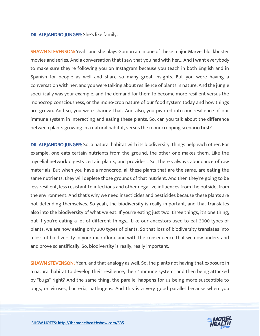#### DR. ALEJANDRO JUNGER: She's like family.

SHAWN STEVENSON: Yeah, and she plays Gomorrah in one of these major Marvel blockbuster movies and series. And a conversation that I saw that you had with her... And I want everybody to make sure they're following you on Instagram because you teach in both English and in Spanish for people as well and share so many great insights. But you were having a conversation with her, and you were talking about resilience of plants in nature. And the jungle specifically was your example, and the demand for them to become more resilient versus the monocrop consciousness, or the mono-crop nature of our food system today and how things are grown. And so, you were sharing that. And also, you pivoted into our resilience of our immune system in interacting and eating these plants. So, can you talk about the difference between plants growing in a natural habitat, versus the monocropping scenario first?

DR. ALEJANDRO JUNGER: So, a natural habitat with its biodiversity, things help each other. For example, one eats certain nutrients from the ground, the other one makes them. Like the mycelial network digests certain plants, and provides... So, there's always abundance of raw materials. But when you have a monocrop, all these plants that are the same, are eating the same nutrients, they will deplete those grounds of that nutrient. And then they're going to be less resilient, less resistant to infections and other negative influences from the outside, from the environment. And that's why we need insecticides and pesticides because these plants are not defending themselves. So yeah, the biodiversity is really important, and that translates also into the biodiversity of what we eat. If you're eating just two, three things, it's one thing, but if you're eating a lot of different things... Like our ancestors used to eat 3000 types of plants, we are now eating only 300 types of plants. So that loss of biodiversity translates into a loss of biodiversity in your microflora, and with the consequence that we now understand and prove scientifically. So, biodiversity is really, really important.

**SHAWN STEVENSON:** Yeah, and that analogy as well. So, the plants not having that exposure in a natural habitat to develop their resilience, their "immune system" and then being attacked by "bugs" right? And the same thing, the parallel happens for us being more susceptible to bugs, or viruses, bacteria, pathogens. And this is a very good parallel because when you

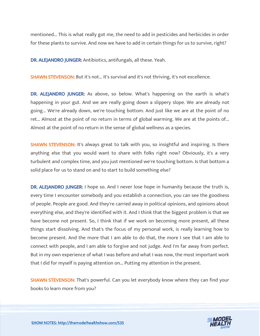mentioned... This is what really got me, the need to add in pesticides and herbicides in order for these plants to survive. And now we have to add in certain things for us to survive, right?

DR. ALEJANDRO JUNGER: Antibiotics, antifungals, all these. Yeah.

SHAWN STEVENSON: But it's not... It's survival and it's not thriving, it's not excellence.

DR. ALEJANDRO JUNGER: As above, so below. What's happening on the earth is what's happening in your gut. And we are really going down a slippery slope. We are already not going... We're already down, we're touching bottom. And just like we are at the point of no ret... Almost at the point of no return in terms of global warming. We are at the points of... Almost at the point of no return in the sense of global wellness as a species.

**SHAWN STEVENSON:** It's always great to talk with you, so insightful and inspiring. Is there anything else that you would want to share with folks right now? Obviously, it's a very turbulent and complex time, and you just mentioned we're touching bottom. Is that bottom a solid place for us to stand on and to start to build something else?

DR. ALEJANDRO JUNGER: I hope so. And I never lose hope in humanity because the truth is, every time I encounter somebody and you establish a connection, you can see the goodness of people. People are good. And they're carried away in political opinions, and opinions about everything else, and they're identified with it. And I think that the biggest problem is that we have become not present. So, I think that if we work on becoming more present, all these things start dissolving. And that's the focus of my personal work, is really learning how to become present. And the more that I am able to do that, the more I see that I am able to connect with people, and I am able to forgive and not judge. And I'm far away from perfect. But in my own experience of what I was before and what I was now, the most important work that I did for myself is paying attention on... Putting my attention in the present.

**SHAWN STEVENSON:** That's powerful. Can you let everybody know where they can find your books to learn more from you?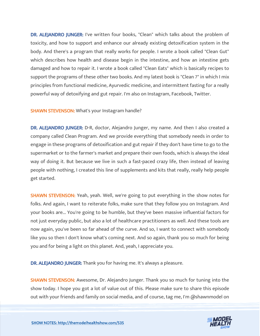DR. ALEJANDRO JUNGER: I've written four books, "Clean" which talks about the problem of toxicity, and how to support and enhance our already existing detoxification system in the body. And there's a program that really works for people. I wrote a book called "Clean Gut" which describes how health and disease begin in the intestine, and how an intestine gets damaged and how to repair it. I wrote a book called "Clean Eats" which is basically recipes to support the programs of these other two books. And my latest book is "Clean 7" in which I mix principles from functional medicine, Ayurvedic medicine, and intermittent fasting for a really powerful way of detoxifying and gut repair. I'm also on Instagram, Facebook, Twitter.

#### SHAWN STEVENSON: What's your Instagram handle?

DR. ALEJANDRO JUNGER: D-R, doctor, Alejandro Junger, my name. And then I also created a company called Clean Program. And we provide everything that somebody needs in order to engage in these programs of detoxification and gut repair if they don't have time to go to the supermarket or to the farmer's market and prepare their own foods, which is always the ideal way of doing it. But because we live in such a fast-paced crazy life, then instead of leaving people with nothing, I created this line of supplements and kits that really, really help people get started.

SHAWN STEVENSON: Yeah, yeah. Well, we're going to put everything in the show notes for folks. And again, I want to reiterate folks, make sure that they follow you on Instagram. And your books are... You're going to be humble, but they've been massive influential factors for not just everyday public, but also a lot of healthcare practitioners as well. And these tools are now again, you've been so far ahead of the curve. And so, I want to connect with somebody like you so then I don't know what's coming next. And so again, thank you so much for being you and for being a light on this planet. And, yeah, I appreciate you.

DR. ALEJANDRO JUNGER: Thank you for having me. It's always a pleasure.

**SHAWN STEVENSON:** Awesome, Dr. Alejandro Junger. Thank you so much for tuning into the show today. I hope you got a lot of value out of this. Please make sure to share this episode out with your friends and family on social media, and of course, tag me, I'm @shawnmodel on